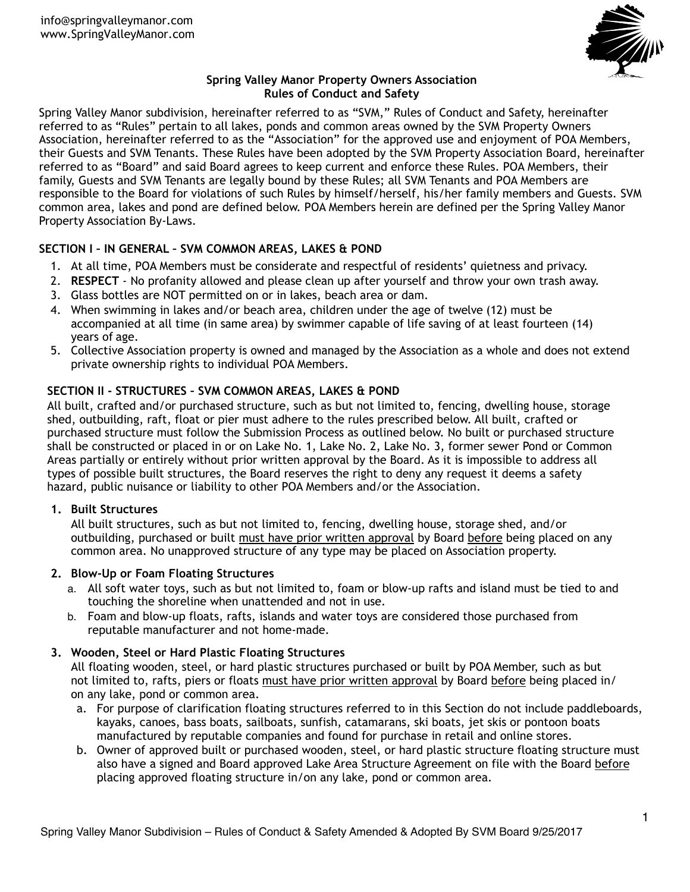

# **Spring Valley Manor Property Owners Association Rules of Conduct and Safety**

Spring Valley Manor subdivision, hereinafter referred to as "SVM," Rules of Conduct and Safety, hereinafter referred to as "Rules" pertain to all lakes, ponds and common areas owned by the SVM Property Owners Association, hereinafter referred to as the "Association" for the approved use and enjoyment of POA Members, their Guests and SVM Tenants. These Rules have been adopted by the SVM Property Association Board, hereinafter referred to as "Board" and said Board agrees to keep current and enforce these Rules. POA Members, their family, Guests and SVM Tenants are legally bound by these Rules; all SVM Tenants and POA Members are responsible to the Board for violations of such Rules by himself/herself, his/her family members and Guests. SVM common area, lakes and pond are defined below. POA Members herein are defined per the Spring Valley Manor Property Association By-Laws.

# **SECTION I – IN GENERAL – SVM COMMON AREAS, LAKES & POND**

- 1. At all time, POA Members must be considerate and respectful of residents' quietness and privacy.
- 2. **RESPECT** No profanity allowed and please clean up after yourself and throw your own trash away.
- 3. Glass bottles are NOT permitted on or in lakes, beach area or dam.
- 4. When swimming in lakes and/or beach area, children under the age of twelve (12) must be accompanied at all time (in same area) by swimmer capable of life saving of at least fourteen (14) years of age.
- 5. Collective Association property is owned and managed by the Association as a whole and does not extend private ownership rights to individual POA Members.

# **SECTION II - STRUCTURES – SVM COMMON AREAS, LAKES & POND**

All built, crafted and/or purchased structure, such as but not limited to, fencing, dwelling house, storage shed, outbuilding, raft, float or pier must adhere to the rules prescribed below. All built, crafted or purchased structure must follow the Submission Process as outlined below. No built or purchased structure shall be constructed or placed in or on Lake No. 1, Lake No. 2, Lake No. 3, former sewer Pond or Common Areas partially or entirely without prior written approval by the Board. As it is impossible to address all types of possible built structures, the Board reserves the right to deny any request it deems a safety hazard, public nuisance or liability to other POA Members and/or the Association.

# **1. Built Structures**

All built structures, such as but not limited to, fencing, dwelling house, storage shed, and/or outbuilding, purchased or built must have prior written approval by Board before being placed on any common area. No unapproved structure of any type may be placed on Association property.

# **2. Blow-Up or Foam Floating Structures**

- a. All soft water toys, such as but not limited to, foam or blow-up rafts and island must be tied to and touching the shoreline when unattended and not in use.
- b. Foam and blow-up floats, rafts, islands and water toys are considered those purchased from reputable manufacturer and not home-made.

# **3. Wooden, Steel or Hard Plastic Floating Structures**

All floating wooden, steel, or hard plastic structures purchased or built by POA Member, such as but not limited to, rafts, piers or floats must have prior written approval by Board before being placed in/ on any lake, pond or common area.

- a. For purpose of clarification floating structures referred to in this Section do not include paddleboards, kayaks, canoes, bass boats, sailboats, sunfish, catamarans, ski boats, jet skis or pontoon boats manufactured by reputable companies and found for purchase in retail and online stores.
- b. Owner of approved built or purchased wooden, steel, or hard plastic structure floating structure must also have a signed and Board approved Lake Area Structure Agreement on file with the Board before placing approved floating structure in/on any lake, pond or common area.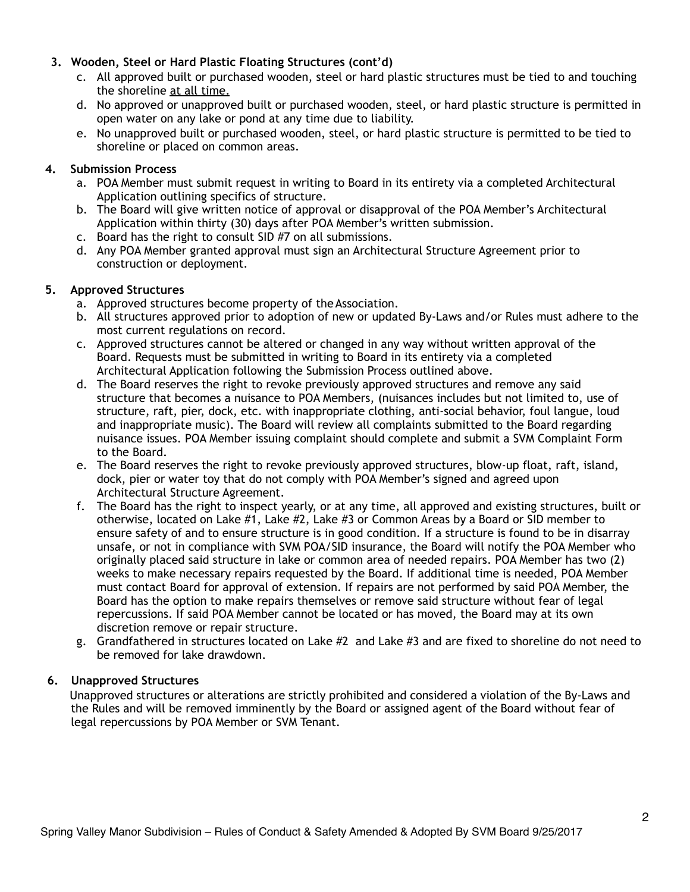### **3. Wooden, Steel or Hard Plastic Floating Structures (cont'd)**

- c. All approved built or purchased wooden, steel or hard plastic structures must be tied to and touching the shoreline at all time.
- d. No approved or unapproved built or purchased wooden, steel, or hard plastic structure is permitted in open water on any lake or pond at any time due to liability.
- e. No unapproved built or purchased wooden, steel, or hard plastic structure is permitted to be tied to shoreline or placed on common areas.

### **4. Submission Process**

- a. POA Member must submit request in writing to Board in its entirety via a completed Architectural Application outlining specifics of structure.
- b. The Board will give written notice of approval or disapproval of the POA Member's Architectural Application within thirty (30) days after POA Member's written submission.
- c. Board has the right to consult SID #7 on all submissions.
- d. Any POA Member granted approval must sign an Architectural Structure Agreement prior to construction or deployment.

### **5. Approved Structures**

- a. Approved structures become property of theAssociation.
- b. All structures approved prior to adoption of new or updated By-Laws and/or Rules must adhere to the most current regulations on record.
- c. Approved structures cannot be altered or changed in any way without written approval of the Board. Requests must be submitted in writing to Board in its entirety via a completed Architectural Application following the Submission Process outlined above.
- d. The Board reserves the right to revoke previously approved structures and remove any said structure that becomes a nuisance to POA Members, (nuisances includes but not limited to, use of structure, raft, pier, dock, etc. with inappropriate clothing, anti-social behavior, foul langue, loud and inappropriate music). The Board will review all complaints submitted to the Board regarding nuisance issues. POA Member issuing complaint should complete and submit a SVM Complaint Form to the Board.
- e. The Board reserves the right to revoke previously approved structures, blow-up float, raft, island, dock, pier or water toy that do not comply with POA Member's signed and agreed upon Architectural Structure Agreement.
- f. The Board has the right to inspect yearly, or at any time, all approved and existing structures, built or otherwise, located on Lake #1, Lake #2, Lake #3 or Common Areas by a Board or SID member to ensure safety of and to ensure structure is in good condition. If a structure is found to be in disarray unsafe, or not in compliance with SVM POA/SID insurance, the Board will notify the POA Member who originally placed said structure in lake or common area of needed repairs. POA Member has two (2) weeks to make necessary repairs requested by the Board. If additional time is needed, POA Member must contact Board for approval of extension. If repairs are not performed by said POA Member, the Board has the option to make repairs themselves or remove said structure without fear of legal repercussions. If said POA Member cannot be located or has moved, the Board may at its own discretion remove or repair structure.
- g. Grandfathered in structures located on Lake #2 and Lake #3 and are fixed to shoreline do not need to be removed for lake drawdown.

#### **6. Unapproved Structures**

Unapproved structures or alterations are strictly prohibited and considered a violation of the By-Laws and the Rules and will be removed imminently by the Board or assigned agent of the Board without fear of legal repercussions by POA Member or SVM Tenant.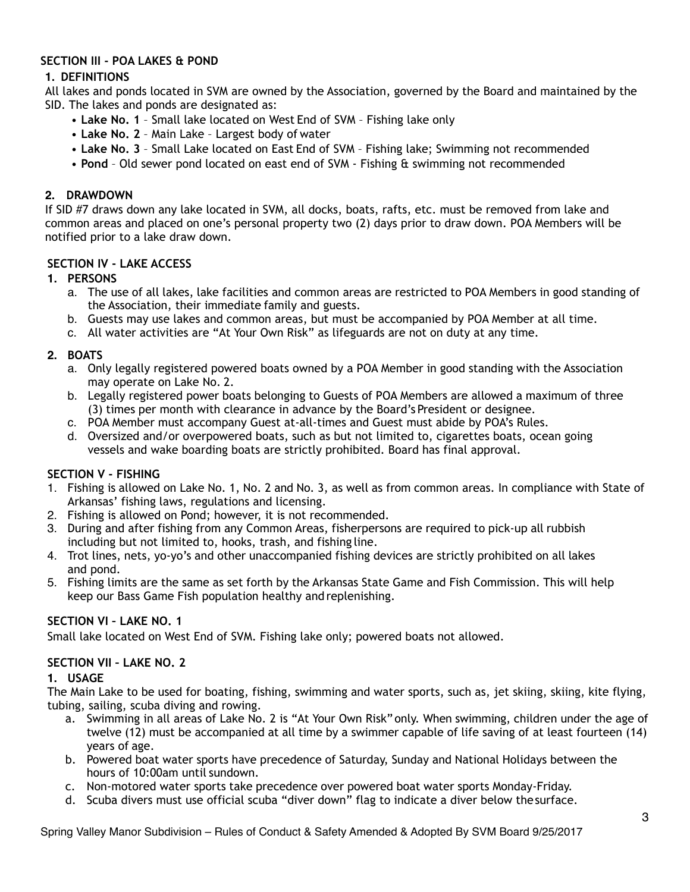### **SECTION III - POA LAKES & POND**

# **1. DEFINITIONS**

All lakes and ponds located in SVM are owned by the Association, governed by the Board and maintained by the SID. The lakes and ponds are designated as:

- **Lake No. 1**  Small lake located on West End of SVM Fishing lake only
- **Lake No. 2**  Main Lake Largest body of water
- **Lake No. 3**  Small Lake located on East End of SVM Fishing lake; Swimming not recommended
- **Pond**  Old sewer pond located on east end of SVM Fishing & swimming not recommended

### **2. DRAWDOWN**

If SID #7 draws down any lake located in SVM, all docks, boats, rafts, etc. must be removed from lake and common areas and placed on one's personal property two (2) days prior to draw down. POA Members will be notified prior to a lake draw down.

### **SECTION IV - LAKE ACCESS**

### **1. PERSONS**

- a. The use of all lakes, lake facilities and common areas are restricted to POA Members in good standing of the Association, their immediate family and guests.
- b. Guests may use lakes and common areas, but must be accompanied by POA Member at all time.
- c. All water activities are "At Your Own Risk" as lifeguards are not on duty at any time.

### **2. BOATS**

- a. Only legally registered powered boats owned by a POA Member in good standing with the Association may operate on Lake No. 2.
- b. Legally registered power boats belonging to Guests of POA Members are allowed a maximum of three (3) times per month with clearance in advance by the Board's President or designee.
- c. POA Member must accompany Guest at-all-times and Guest must abide by POA's Rules.
- d. Oversized and/or overpowered boats, such as but not limited to, cigarettes boats, ocean going vessels and wake boarding boats are strictly prohibited. Board has final approval.

#### **SECTION V - FISHING**

- 1. Fishing is allowed on Lake No. 1, No. 2 and No. 3, as well as from common areas. In compliance with State of Arkansas' fishing laws, regulations and licensing.
- 2. Fishing is allowed on Pond; however, it is not recommended.
- 3. During and after fishing from any Common Areas, fisherpersons are required to pick-up all rubbish including but not limited to, hooks, trash, and fishing line.
- 4. Trot lines, nets, yo-yo's and other unaccompanied fishing devices are strictly prohibited on all lakes and pond.
- 5. Fishing limits are the same as set forth by the Arkansas State Game and Fish Commission. This will help keep our Bass Game Fish population healthy and replenishing.

# **SECTION VI – LAKE NO. 1**

Small lake located on West End of SVM. Fishing lake only; powered boats not allowed.

#### **SECTION VII – LAKE NO. 2**

#### **1. USAGE**

The Main Lake to be used for boating, fishing, swimming and water sports, such as, jet skiing, skiing, kite flying, tubing, sailing, scuba diving and rowing.

- a. Swimming in all areas of Lake No. 2 is "At Your Own Risk" only. When swimming, children under the age of twelve (12) must be accompanied at all time by a swimmer capable of life saving of at least fourteen (14) years of age.
- b. Powered boat water sports have precedence of Saturday, Sunday and National Holidays between the hours of 10:00am until sundown.
- c. Non-motored water sports take precedence over powered boat water sports Monday-Friday.
- d. Scuba divers must use official scuba "diver down" flag to indicate a diver below thesurface.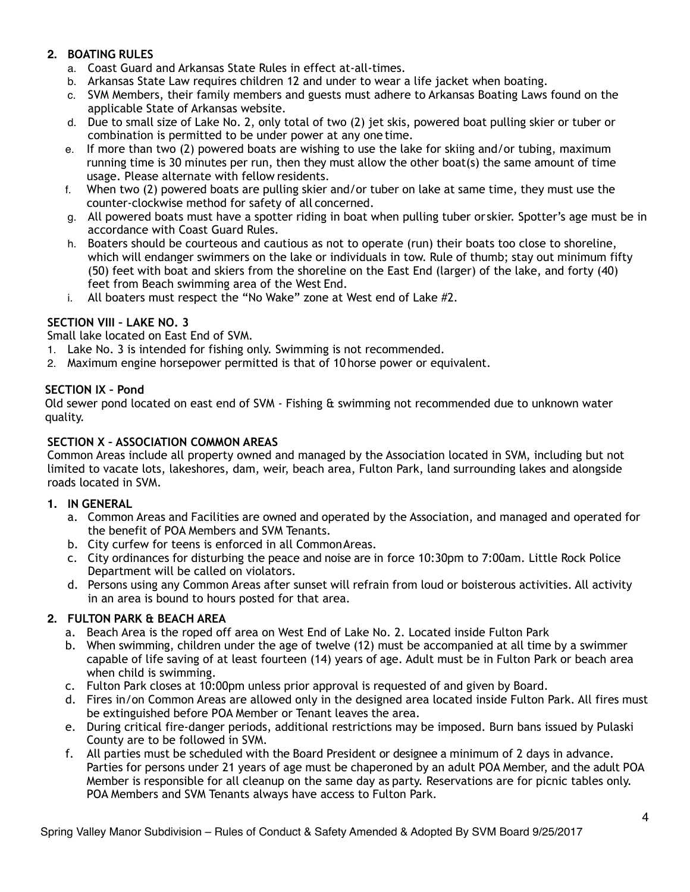# **2. BOATING RULES**

- a. Coast Guard and Arkansas State Rules in effect at-all-times.
- b. Arkansas State Law requires children 12 and under to wear a life jacket when boating.
- c. SVM Members, their family members and guests must adhere to Arkansas Boating Laws found on the applicable State of Arkansas website.
- d. Due to small size of Lake No. 2, only total of two (2) jet skis, powered boat pulling skier or tuber or combination is permitted to be under power at any one time.
- e. If more than two (2) powered boats are wishing to use the lake for skiing and/or tubing, maximum running time is 30 minutes per run, then they must allow the other boat(s) the same amount of time usage. Please alternate with fellow residents.
- f. When two (2) powered boats are pulling skier and/or tuber on lake at same time, they must use the counter-clockwise method for safety of all concerned.
- g. All powered boats must have a spotter riding in boat when pulling tuber or skier. Spotter's age must be in accordance with Coast Guard Rules.
- h. Boaters should be courteous and cautious as not to operate (run) their boats too close to shoreline, which will endanger swimmers on the lake or individuals in tow. Rule of thumb; stay out minimum fifty (50) feet with boat and skiers from the shoreline on the East End (larger) of the lake, and forty (40) feet from Beach swimming area of the West End.
- i. All boaters must respect the "No Wake" zone at West end of Lake #2.

# **SECTION VIII – LAKE NO. 3**

Small lake located on East End of SVM.

- 1. Lake No. 3 is intended for fishing only. Swimming is not recommended.
- 2. Maximum engine horsepower permitted is that of 10 horse power or equivalent.

# **SECTION IX – Pond**

Old sewer pond located on east end of SVM - Fishing & swimming not recommended due to unknown water quality.

### **SECTION X – ASSOCIATION COMMON AREAS**

Common Areas include all property owned and managed by the Association located in SVM, including but not limited to vacate lots, lakeshores, dam, weir, beach area, Fulton Park, land surrounding lakes and alongside roads located in SVM.

#### **1. IN GENERAL**

- a. Common Areas and Facilities are owned and operated by the Association, and managed and operated for the benefit of POA Members and SVM Tenants.
- b. City curfew for teens is enforced in all CommonAreas.
- c. City ordinances for disturbing the peace and noise are in force 10:30pm to 7:00am. Little Rock Police Department will be called on violators.
- d. Persons using any Common Areas after sunset will refrain from loud or boisterous activities. All activity in an area is bound to hours posted for that area.

# **2. FULTON PARK & BEACH AREA**

- a. Beach Area is the roped off area on West End of Lake No. 2. Located inside Fulton Park
- b. When swimming, children under the age of twelve (12) must be accompanied at all time by a swimmer capable of life saving of at least fourteen (14) years of age. Adult must be in Fulton Park or beach area when child is swimming.
- c. Fulton Park closes at 10:00pm unless prior approval is requested of and given by Board.
- d. Fires in/on Common Areas are allowed only in the designed area located inside Fulton Park. All fires must be extinguished before POA Member or Tenant leaves the area.
- e. During critical fire-danger periods, additional restrictions may be imposed. Burn bans issued by Pulaski County are to be followed in SVM.
- f. All parties must be scheduled with the Board President or designee a minimum of 2 days in advance. Parties for persons under 21 years of age must be chaperoned by an adult POA Member, and the adult POA Member is responsible for all cleanup on the same day as party. Reservations are for picnic tables only. POA Members and SVM Tenants always have access to Fulton Park.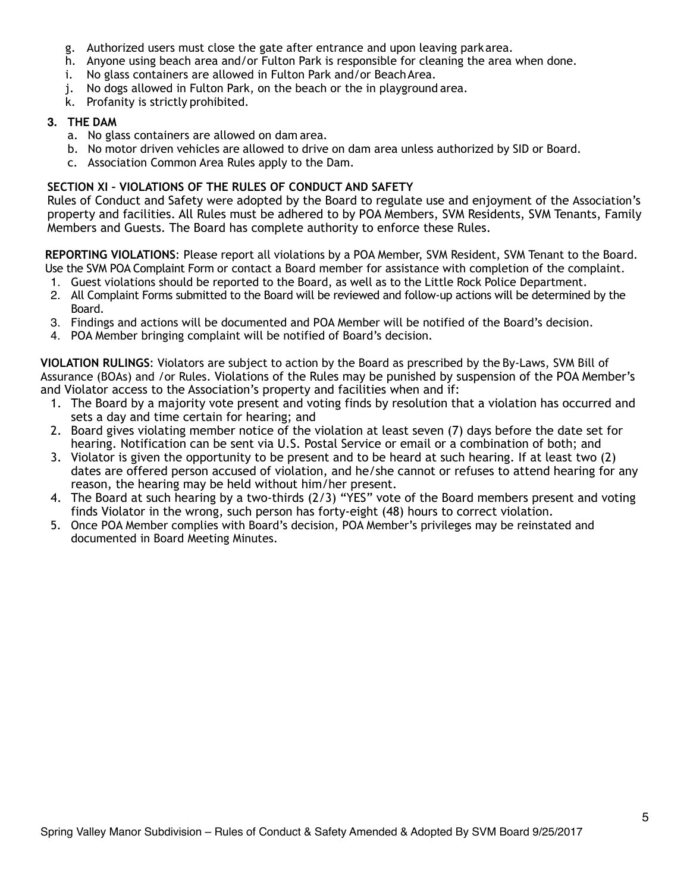- g. Authorized users must close the gate after entrance and upon leaving parkarea.
- h. Anyone using beach area and/or Fulton Park is responsible for cleaning the area when done.
- i. No glass containers are allowed in Fulton Park and/or BeachArea.
- j. No dogs allowed in Fulton Park, on the beach or the in playground area.
- k. Profanity is strictly prohibited.

# **3. THE DAM**

- a. No glass containers are allowed on dam area.
- b. No motor driven vehicles are allowed to drive on dam area unless authorized by SID or Board.
- c. Association Common Area Rules apply to the Dam.

# **SECTION XI – VIOLATIONS OF THE RULES OF CONDUCT AND SAFETY**

Rules of Conduct and Safety were adopted by the Board to regulate use and enjoyment of the Association's property and facilities. All Rules must be adhered to by POA Members, SVM Residents, SVM Tenants, Family Members and Guests. The Board has complete authority to enforce these Rules.

**REPORTING VIOLATIONS**: Please report all violations by a POA Member, SVM Resident, SVM Tenant to the Board. Use the SVM POA Complaint Form or contact a Board member for assistance with completion of the complaint.

- 1. Guest violations should be reported to the Board, as well as to the Little Rock Police Department.
- 2. All Complaint Forms submitted to the Board will be reviewed and follow-up actions will be determined by the Board.
- 3. Findings and actions will be documented and POA Member will be notified of the Board's decision.
- 4. POA Member bringing complaint will be notified of Board's decision.

**VIOLATION RULINGS**: Violators are subject to action by the Board as prescribed by the By-Laws, SVM Bill of Assurance (BOAs) and /or Rules. Violations of the Rules may be punished by suspension of the POA Member's and Violator access to the Association's property and facilities when and if:

- 1. The Board by a majority vote present and voting finds by resolution that a violation has occurred and sets a day and time certain for hearing; and
- 2. Board gives violating member notice of the violation at least seven (7) days before the date set for hearing. Notification can be sent via U.S. Postal Service or email or a combination of both; and
- 3. Violator is given the opportunity to be present and to be heard at such hearing. If at least two (2) dates are offered person accused of violation, and he/she cannot or refuses to attend hearing for any reason, the hearing may be held without him/her present.
- 4. The Board at such hearing by a two-thirds (2/3) "YES" vote of the Board members present and voting finds Violator in the wrong, such person has forty-eight (48) hours to correct violation.
- 5. Once POA Member complies with Board's decision, POA Member's privileges may be reinstated and documented in Board Meeting Minutes.